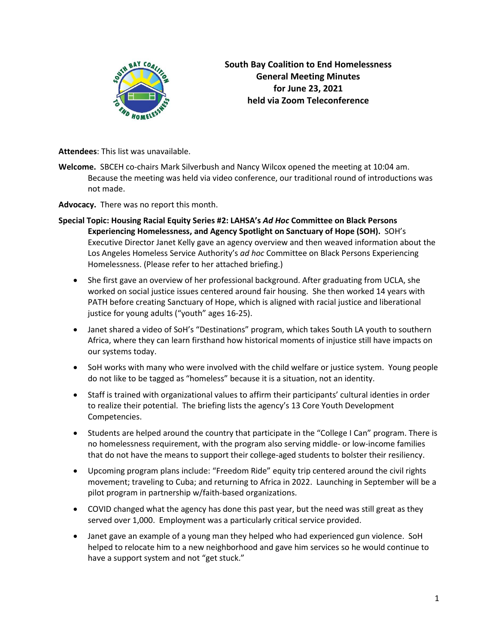

**South Bay Coalition to End Homelessness General Meeting Minutes for June 23, 2021 held via Zoom Teleconference**

**Attendees**: This list was unavailable.

- **Welcome.** SBCEH co-chairs Mark Silverbush and Nancy Wilcox opened the meeting at 10:04 am. Because the meeting was held via video conference, our traditional round of introductions was not made.
- **Advocacy.** There was no report this month.
- **Special Topic: Housing Racial Equity Series #2: LAHSA's** *Ad Hoc* **Committee on Black Persons Experiencing Homelessness, and Agency Spotlight on Sanctuary of Hope (SOH).** SOH's Executive Director Janet Kelly gave an agency overview and then weaved information about the Los Angeles Homeless Service Authority's *ad hoc* Committee on Black Persons Experiencing Homelessness. (Please refer to her attached briefing.)
	- She first gave an overview of her professional background. After graduating from UCLA, she worked on social justice issues centered around fair housing. She then worked 14 years with PATH before creating Sanctuary of Hope, which is aligned with racial justice and liberational justice for young adults ("youth" ages 16-25).
	- Janet shared a video of SoH's "Destinations" program, which takes South LA youth to southern Africa, where they can learn firsthand how historical moments of injustice still have impacts on our systems today.
	- SoH works with many who were involved with the child welfare or justice system. Young people do not like to be tagged as "homeless" because it is a situation, not an identity.
	- Staff is trained with organizational values to affirm their participants' cultural identies in order to realize their potential. The briefing lists the agency's 13 Core Youth Development Competencies.
	- Students are helped around the country that participate in the "College I Can" program. There is no homelessness requirement, with the program also serving middle- or low-income families that do not have the means to support their college-aged students to bolster their resiliency.
	- Upcoming program plans include: "Freedom Ride" equity trip centered around the civil rights movement; traveling to Cuba; and returning to Africa in 2022. Launching in September will be a pilot program in partnership w/faith-based organizations.
	- COVID changed what the agency has done this past year, but the need was still great as they served over 1,000. Employment was a particularly critical service provided.
	- Janet gave an example of a young man they helped who had experienced gun violence. SoH helped to relocate him to a new neighborhood and gave him services so he would continue to have a support system and not "get stuck."